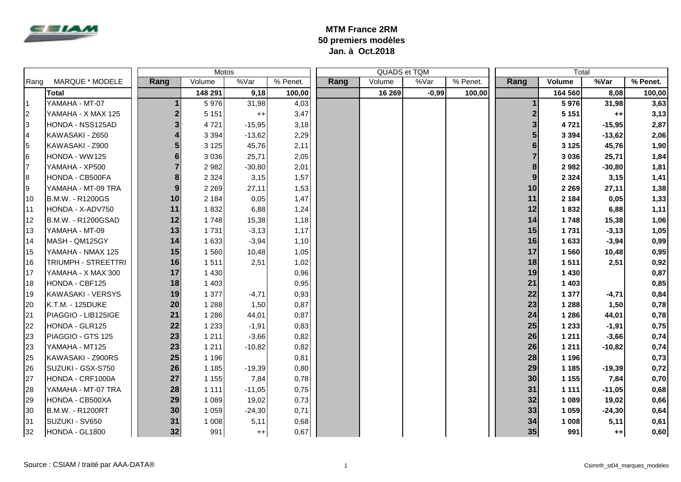

## **MTM France 2RM 50 premiers modèles Jan. à Oct.2018**

|      |                     |                         | Motos   |          |          |      | QUADS et TQM |         |          | Total |         |          |          |
|------|---------------------|-------------------------|---------|----------|----------|------|--------------|---------|----------|-------|---------|----------|----------|
| Rang | MARQUE * MODELE     | Rang                    | Volume  | %Var     | % Penet. | Rang | Volume       | %Var    | % Penet. | Rang  | Volume  | %Var     | % Penet. |
|      | <b>Total</b>        |                         | 148 291 | 9,18     | 100,00   |      | 16 269       | $-0,99$ | 100,00   |       | 164 560 | 8,08     | 100,00   |
| l 1  | YAMAHA - MT-07      |                         | 5976    | 31,98    | 4,03     |      |              |         |          |       | 5976    | 31,98    | 3,63     |
| 2    | YAMAHA - X MAX 125  | $\overline{\mathbf{c}}$ | 5 1 5 1 | $^{++}$  | 3,47     |      |              |         |          |       | 5 1 5 1 | $++$     | 3,13     |
| 3    | HONDA - NSS125AD    | 3                       | 4 7 2 1 | $-15,95$ | 3,18     |      |              |         |          |       | 4 7 2 1 | $-15,95$ | 2,87     |
| 4    | KAWASAKI - Z650     | $\overline{\mathbf{4}}$ | 3 3 9 4 | $-13,62$ | 2,29     |      |              |         |          |       | 3 3 9 4 | $-13,62$ | 2,06     |
| 15   | KAWASAKI - Z900     | 5                       | 3 1 2 5 | 45,76    | 2,11     |      |              |         |          |       | 3 1 2 5 | 45,76    | 1,90     |
| 6    | HONDA - WW125       | 6                       | 3 0 3 6 | 25,71    | 2,05     |      |              |         |          |       | 3 0 3 6 | 25,71    | 1,84     |
| 17   | YAMAHA - XP500      | $\overline{7}$          | 2 9 8 2 | $-30,80$ | 2,01     |      |              |         |          |       | 2982    | $-30,80$ | 1,81     |
| 8    | HONDA - CB500FA     | 8                       | 2 3 2 4 | 3,15     | 1,57     |      |              |         |          | 9     | 2 3 2 4 | 3,15     | 1,41     |
| Ι9   | YAMAHA - MT-09 TRA  | 9                       | 2 2 6 9 | 27,11    | 1,53     |      |              |         |          | 10    | 2 2 6 9 | 27,11    | 1,38     |
| 10   | B.M.W. - R1200GS    | 10                      | 2 1 8 4 | 0,05     | 1,47     |      |              |         |          | 11    | 2 1 8 4 | 0,05     | 1,33     |
| 11   | HONDA - X-ADV750    | 11                      | 1832    | 6,88     | 1,24     |      |              |         |          | 12    | 1832    | 6,88     | 1,11     |
| 12   | B.M.W. - R1200GSAD  | 12                      | 1748    | 15,38    | 1,18     |      |              |         |          | 14    | 1748    | 15,38    | 1,06     |
| 13   | YAMAHA - MT-09      | 13                      | 1731    | $-3,13$  | 1,17     |      |              |         |          | 15    | 1731    | $-3,13$  | 1,05     |
| 14   | MASH - QM125GY      | 14                      | 1 6 3 3 | $-3,94$  | 1,10     |      |              |         |          | 16    | 1633    | $-3,94$  | 0,99     |
| 15   | YAMAHA - NMAX 125   | 15                      | 1 5 6 0 | 10,48    | 1,05     |      |              |         |          | 17    | 1560    | 10,48    | 0,95     |
| 16   | TRIUMPH - STREETTRI | 16                      | 1511    | 2,51     | 1,02     |      |              |         |          | 18    | 1511    | 2,51     | 0,92     |
| 17   | YAMAHA - X MAX 300  | 17                      | 1 4 3 0 |          | 0,96     |      |              |         |          | 19    | 1 4 3 0 |          | 0,87     |
| 18   | HONDA - CBF125      | 18                      | 1 4 0 3 |          | 0,95     |      |              |         |          | 21    | 1 4 0 3 |          | 0,85     |
| 19   | KAWASAKI - VERSYS   | 19                      | 1 377   | $-4,71$  | 0,93     |      |              |         |          | 22    | 1 3 7 7 | $-4,71$  | 0,84     |
| 20   | K.T.M. - 125DUKE    | 20                      | 1 2 8 8 | 1,50     | 0,87     |      |              |         |          | 23    | 1 2 8 8 | 1,50     | 0,78     |
| 21   | PIAGGIO - LIB125IGE | 21                      | 1 2 8 6 | 44,01    | 0,87     |      |              |         |          | 24    | 1 2 8 6 | 44,01    | 0,78     |
| 22   | HONDA - GLR125      | 22                      | 1 2 3 3 | $-1,91$  | 0,83     |      |              |         |          | 25    | 1 2 3 3 | $-1,91$  | 0,75     |
| 23   | PIAGGIO - GTS 125   | 23                      | 1 2 1 1 | $-3,66$  | 0,82     |      |              |         |          | 26    | 1 2 1 1 | $-3,66$  | 0,74     |
| 23   | YAMAHA - MT125      | 23                      | 1 2 1 1 | $-10,82$ | 0,82     |      |              |         |          | 26    | 1 2 1 1 | $-10,82$ | 0,74     |
| 25   | KAWASAKI - Z900RS   | 25                      | 1 1 9 6 |          | 0,81     |      |              |         |          | 28    | 1 1 9 6 |          | 0,73     |
| 26   | SUZUKI - GSX-S750   | 26                      | 1 1 8 5 | $-19,39$ | 0,80     |      |              |         |          | 29    | 1 1 8 5 | $-19,39$ | 0,72     |
| 27   | HONDA - CRF1000A    | 27                      | 1 1 5 5 | 7,84     | 0,78     |      |              |         |          | 30    | 1 1 5 5 | 7,84     | 0,70     |
| 28   | YAMAHA - MT-07 TRA  | 28                      | 1 1 1 1 | $-11,05$ | 0,75     |      |              |         |          | 31    | 1 1 1 1 | $-11,05$ | 0,68     |
| 29   | HONDA - CB500XA     | 29                      | 1 0 8 9 | 19,02    | 0,73     |      |              |         |          | 32    | 1 0 8 9 | 19,02    | 0,66     |
| 30   | B.M.W. - R1200RT    | 30                      | 1 0 5 9 | $-24,30$ | 0,71     |      |              |         |          | 33    | 1 0 5 9 | $-24,30$ | 0,64     |
| 31   | SUZUKI - SV650      | 31                      | 1 0 0 8 | 5,11     | 0,68     |      |              |         |          | 34    | 1 0 0 8 | 5,11     | 0,61     |
| 32   | HONDA - GL1800      | 32                      | 991     | $++$     | 0,67     |      |              |         |          | 35    | 991     | $++$     | 0,60     |